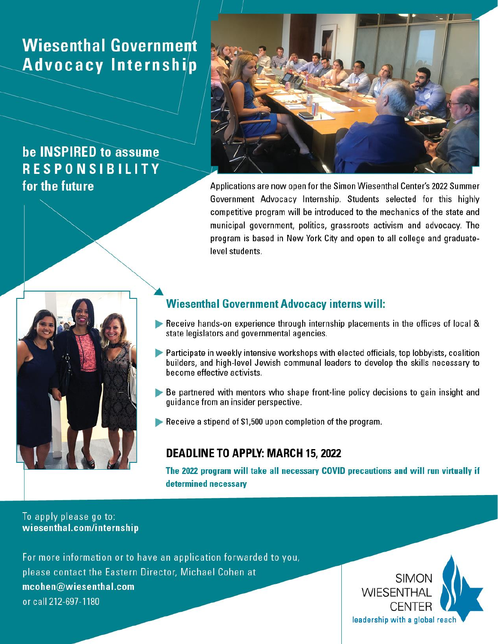## **Wiesenthal Government** Advocacy Internship

### be INSPIRED to assume **RESPONSIBILITY** for the future



Applications are now open for the Simon Wiesenthal Center's 2022 Summer Government Advocacy Internship. Students selected for this highly competitive program will be introduced to the mechanics of the state and municipal government, politics, grassroots activism and advocacy. The program is based in New York City and open to all college and graduatelevel students.



#### **Wiesenthal Government Advocacy interns will:**

- Receive hands-on experience through internship placements in the offices of local & state legislators and governmental agencies.
- Participate in weekly intensive workshops with elected officials, top lobbyists, coalition builders, and high-level Jewish communal leaders to develop the skills necessary to become effective activists.
- Be partnered with mentors who shape front-line policy decisions to gain insight and quidance from an insider perspective.
- Receive a stipend of \$1,500 upon completion of the program.

#### **DEADLINE TO APPLY: MARCH 15, 2022**

The 2022 program will take all necessary COVID precautions and will run virtually if determined necessary

#### To apply please go to: wiesenthal.com/internship

For more information or to have an application forwarded to you, please contact the Eastern Director, Michael Cohen at mcohen@wiesenthal.com or call 212-697-1180

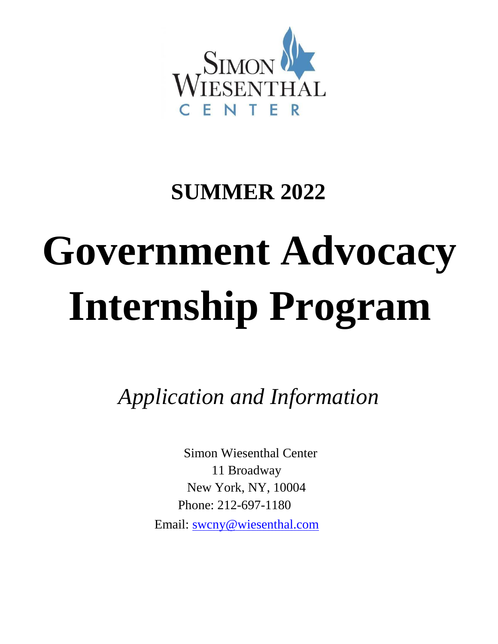

# **SUMMER 2022**

# **Government Advocacy Internship Program**

*Application and Information*

Simon Wiesenthal Center 11 Broadway New York, NY, 10004 Phone: 212-697-1180 Email: swcny@wiesenthal.com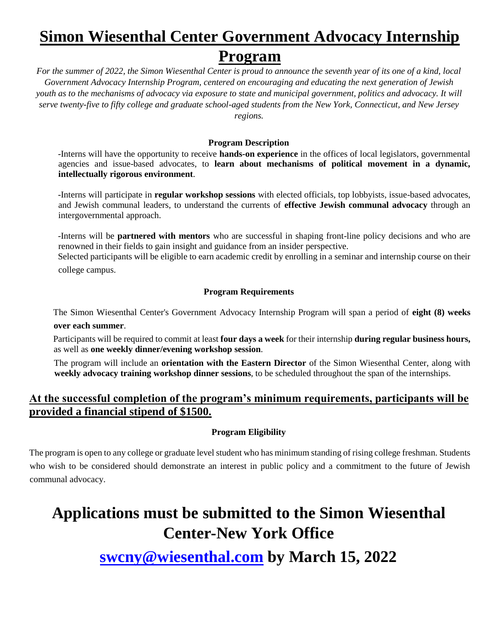## **Simon Wiesenthal Center Government Advocacy Internship Program**

*For the summer of 2022, the Simon Wiesenthal Center is proud to announce the seventh year of its one of a kind, local Government Advocacy Internship Program, centered on encouraging and educating the next generation of Jewish youth as to the mechanisms of advocacy via exposure to state and municipal government, politics and advocacy. It will serve twenty-five to fifty college and graduate school-aged students from the New York, Connecticut, and New Jersey regions.*

#### **Program Description**

-Interns will have the opportunity to receive **hands-on experience** in the offices of local legislators, governmental agencies and issue-based advocates, to **learn about mechanisms of political movement in a dynamic, intellectually rigorous environment**.

-Interns will participate in **regular workshop sessions** with elected officials, top lobbyists, issue-based advocates, and Jewish communal leaders, to understand the currents of **effective Jewish communal advocacy** through an intergovernmental approach.

-Interns will be **partnered with mentors** who are successful in shaping front-line policy decisions and who are renowned in their fields to gain insight and guidance from an insider perspective.

Selected participants will be eligible to earn academic credit by enrolling in a seminar and internship course on their college campus.

#### **Program Requirements**

The Simon Wiesenthal Center's Government Advocacy Internship Program will span a period of **eight (8) weeks over each summer**.

Participants will be required to commit at least **four days a week** for their internship **during regular business hours,** as well as **one weekly dinner/evening workshop session**.

The program will include an **orientation with the Eastern Director** of the Simon Wiesenthal Center, along with **weekly advocacy training workshop dinner sessions**, to be scheduled throughout the span of the internships.

#### **At the successful completion of the program's minimum requirements, participants will be provided a financial stipend of \$1500.**

#### **Program Eligibility**

The program is open to any college or graduate level student who has minimum standing of rising college freshman. Students who wish to be considered should demonstrate an interest in public policy and a commitment to the future of Jewish communal advocacy.

## **Applications must be submitted to the Simon Wiesenthal Center-New York Office**

**swcny@wiesenthal.com by March 15, 2022**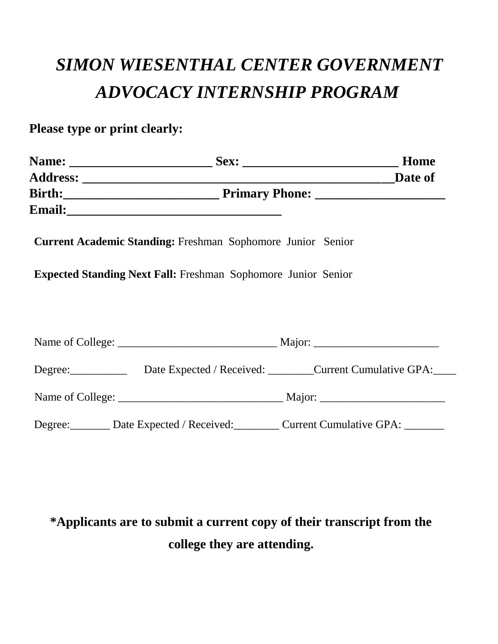## *SIMON WIESENTHAL CENTER GOVERNMENT ADVOCACY INTERNSHIP PROGRAM*

**Please type or print clearly:** 

|  |                                                                      | Home                                                            |
|--|----------------------------------------------------------------------|-----------------------------------------------------------------|
|  |                                                                      |                                                                 |
|  |                                                                      |                                                                 |
|  |                                                                      |                                                                 |
|  | <b>Current Academic Standing: Freshman Sophomore Junior Senior</b>   |                                                                 |
|  | <b>Expected Standing Next Fall:</b> Freshman Sophomore Junior Senior |                                                                 |
|  |                                                                      |                                                                 |
|  |                                                                      |                                                                 |
|  |                                                                      |                                                                 |
|  | Degree: Date Expected / Received: Current Cumulative GPA:            |                                                                 |
|  |                                                                      |                                                                 |
|  |                                                                      | Degree: Date Expected / Received: Current Cumulative GPA: _____ |

## **\*Applicants are to submit a current copy of their transcript from the college they are attending.**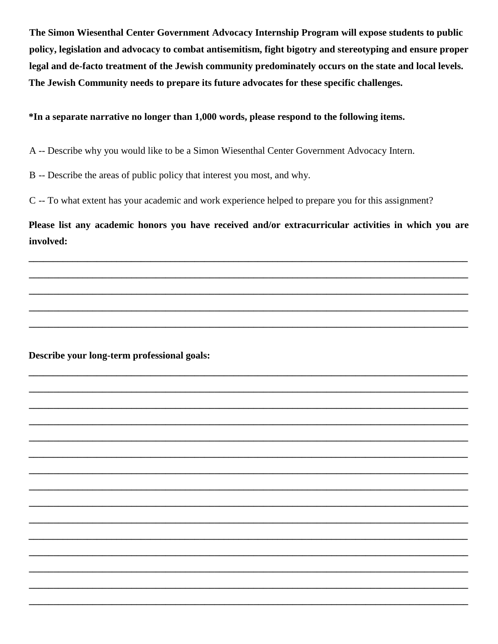The Simon Wiesenthal Center Government Advocacy Internship Program will expose students to public policy, legislation and advocacy to combat antisemitism, fight bigotry and stereotyping and ensure proper legal and de-facto treatment of the Jewish community predominately occurs on the state and local levels. The Jewish Community needs to prepare its future advocates for these specific challenges.

#### \*In a separate narrative no longer than 1,000 words, please respond to the following items.

A -- Describe why you would like to be a Simon Wiesenthal Center Government Advocacy Intern.

B -- Describe the areas of public policy that interest you most, and why.

C -- To what extent has your academic and work experience helped to prepare you for this assignment?

Please list any academic honors you have received and/or extracurricular activities in which you are involved:

Describe your long-term professional goals: